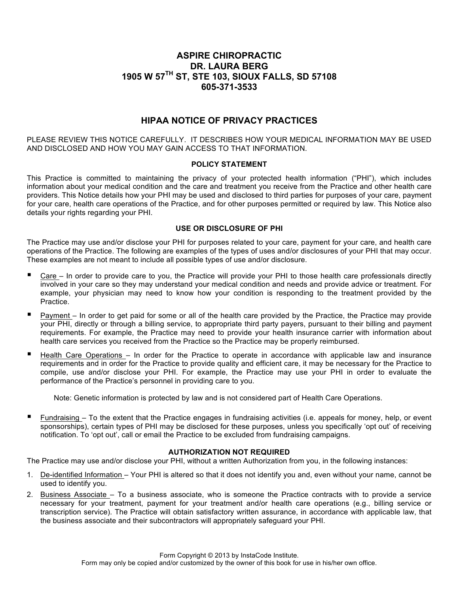## **ASPIRE CHIROPRACTIC DR. LAURA BERG 1905 W 57TH ST, STE 103, SIOUX FALLS, SD 57108 605-371-3533**

# **HIPAA NOTICE OF PRIVACY PRACTICES**

PLEASE REVIEW THIS NOTICE CAREFULLY. IT DESCRIBES HOW YOUR MEDICAL INFORMATION MAY BE USED AND DISCLOSED AND HOW YOU MAY GAIN ACCESS TO THAT INFORMATION.

#### **POLICY STATEMENT**

This Practice is committed to maintaining the privacy of your protected health information ("PHI"), which includes information about your medical condition and the care and treatment you receive from the Practice and other health care providers. This Notice details how your PHI may be used and disclosed to third parties for purposes of your care, payment for your care, health care operations of the Practice, and for other purposes permitted or required by law. This Notice also details your rights regarding your PHI.

#### **USE OR DISCLOSURE OF PHI**

The Practice may use and/or disclose your PHI for purposes related to your care, payment for your care, and health care operations of the Practice. The following are examples of the types of uses and/or disclosures of your PHI that may occur. These examples are not meant to include all possible types of use and/or disclosure.

- Care In order to provide care to you, the Practice will provide your PHI to those health care professionals directly involved in your care so they may understand your medical condition and needs and provide advice or treatment. For example, your physician may need to know how your condition is responding to the treatment provided by the Practice.
- ! Payment In order to get paid for some or all of the health care provided by the Practice, the Practice may provide your PHI, directly or through a billing service, to appropriate third party payers, pursuant to their billing and payment requirements. For example, the Practice may need to provide your health insurance carrier with information about health care services you received from the Practice so the Practice may be properly reimbursed.
- ! Health Care Operations In order for the Practice to operate in accordance with applicable law and insurance requirements and in order for the Practice to provide quality and efficient care, it may be necessary for the Practice to compile, use and/or disclose your PHI. For example, the Practice may use your PHI in order to evaluate the performance of the Practice's personnel in providing care to you.

Note: Genetic information is protected by law and is not considered part of Health Care Operations.

! Fundraising – To the extent that the Practice engages in fundraising activities (i.e. appeals for money, help, or event sponsorships), certain types of PHI may be disclosed for these purposes, unless you specifically 'opt out' of receiving notification. To 'opt out', call or email the Practice to be excluded from fundraising campaigns.

### **AUTHORIZATION NOT REQUIRED**

The Practice may use and/or disclose your PHI, without a written Authorization from you, in the following instances:

- 1. De-identified Information Your PHI is altered so that it does not identify you and, even without your name, cannot be used to identify you.
- 2. Business Associate To a business associate, who is someone the Practice contracts with to provide a service necessary for your treatment, payment for your treatment and/or health care operations (e.g., billing service or transcription service). The Practice will obtain satisfactory written assurance, in accordance with applicable law, that the business associate and their subcontractors will appropriately safeguard your PHI.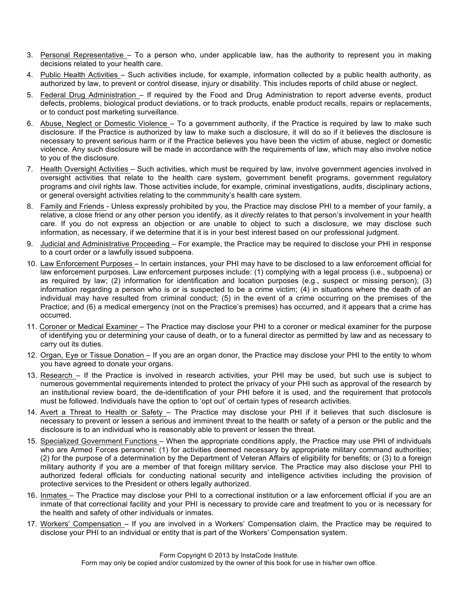- 3. Personal Representative To a person who, under applicable law, has the authority to represent you in making decisions related to your health care.
- 4. Public Health Activities Such activities include, for example, information collected by a public health authority, as authorized by law, to prevent or control disease, injury or disability. This includes reports of child abuse or neglect.
- 5. Federal Drug Administration If required by the Food and Drug Administration to report adverse events, product defects, problems, biological product deviations, or to track products, enable product recalls, repairs or replacements, or to conduct post marketing surveillance.
- 6. Abuse, Neglect or Domestic Violence To a government authority, if the Practice is required by law to make such disclosure. If the Practice is authorized by law to make such a disclosure, it will do so if it believes the disclosure is necessary to prevent serious harm or if the Practice believes you have been the victim of abuse, neglect or domestic violence. Any such disclosure will be made in accordance with the requirements of law, which may also involve notice to you of the disclosure.
- 7. Health Oversight Activities Such activities, which must be required by law, involve government agencies involved in oversight activities that relate to the health care system, government benefit programs, government regulatory programs and civil rights law. Those activities include, for example, criminal investigations, audits, disciplinary actions, or general oversight activities relating to the commmunity's health care system.
- 8. Family and Friends Unless expressly prohibited by you, the Practice may disclose PHI to a member of your family, a relative, a close friend or any other person you identify, as it *directly* relates to that person's involvement in your health care. If you do not express an objection or are unable to object to such a disclosure, we may disclose such information, as necessary, if we determine that it is in your best interest based on our professional judgment.
- 9. Judicial and Administrative Proceeding For example, the Practice may be required to disclose your PHI in response to a court order or a lawfully issued subpoena.
- 10. Law Enforcement Purposes In certain instances, your PHI may have to be disclosed to a law enforcement official for law enforcement purposes. Law enforcement purposes include: (1) complying with a legal process (i.e., subpoena) or as required by law; (2) information for identification and location purposes (e.g., suspect or missing person); (3) information regarding a person who is or is suspected to be a crime victim; (4) in situations where the death of an individual may have resulted from criminal conduct; (5) in the event of a crime occurring on the premises of the Practice; and (6) a medical emergency (not on the Practice's premises) has occurred, and it appears that a crime has occurred.
- 11. Coroner or Medical Examiner The Practice may disclose your PHI to a coroner or medical examiner for the purpose of identifying you or determining your cause of death, or to a funeral director as permitted by law and as necessary to carry out its duties.
- 12. Organ, Eye or Tissue Donation If you are an organ donor, the Practice may disclose your PHI to the entity to whom you have agreed to donate your organs.
- 13. Research If the Practice is involved in research activities, your PHI may be used, but such use is subject to numerous governmental requirements intended to protect the privacy of your PHI such as approval of the research by an institutional review board, the de-identification of your PHI before it is used, and the requirement that protocols must be followed. Individuals have the option to 'opt out' of certain types of research activities.
- 14. Avert a Threat to Health or Safety The Practice may disclose your PHI if it believes that such disclosure is necessary to prevent or lessen a serious and imminent threat to the health or safety of a person or the public and the disclosure is to an individual who is reasonably able to prevent or lessen the threat.
- 15. Specialized Government Functions When the appropriate conditions apply, the Practice may use PHI of individuals who are Armed Forces personnel: (1) for activities deemed necessary by appropriate military command authorities; (2) for the purpose of a determination by the Department of Veteran Affairs of eligibility for benefits; or (3) to a foreign military authority if you are a member of that foreign military service. The Practice may also disclose your PHI to authorized federal officials for conducting national security and intelligence activities including the provision of protective services to the President or others legally authorized.
- 16. Inmates The Practice may disclose your PHI to a correctional institution or a law enforcement official if you are an inmate of that correctional facility and your PHI is necessary to provide care and treatment to you or is necessary for the health and safety of other individuals or inmates.
- 17. Workers' Compensation If you are involved in a Workers' Compensation claim, the Practice may be required to disclose your PHI to an individual or entity that is part of the Workers' Compensation system.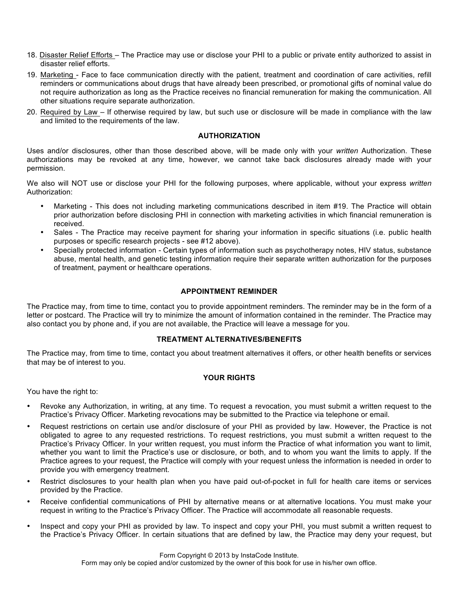- 18. Disaster Relief Efforts The Practice may use or disclose your PHI to a public or private entity authorized to assist in disaster relief efforts.
- 19. Marketing Face to face communication directly with the patient, treatment and coordination of care activities, refill reminders or communications about drugs that have already been prescribed, or promotional gifts of nominal value do not require authorization as long as the Practice receives no financial remuneration for making the communication. All other situations require separate authorization.
- 20. Required by Law If otherwise required by law, but such use or disclosure will be made in compliance with the law and limited to the requirements of the law.

#### **AUTHORIZATION**

Uses and/or disclosures, other than those described above, will be made only with your *written* Authorization. These authorizations may be revoked at any time, however, we cannot take back disclosures already made with your permission.

We also will NOT use or disclose your PHI for the following purposes, where applicable, without your express *written*  Authorization:

- Marketing This does not including marketing communications described in item #19. The Practice will obtain prior authorization before disclosing PHI in connection with marketing activities in which financial remuneration is received.
- Sales The Practice may receive payment for sharing your information in specific situations (i.e. public health purposes or specific research projects - see #12 above).
- Specially protected information Certain types of information such as psychotherapy notes, HIV status, substance abuse, mental health, and genetic testing information require their separate written authorization for the purposes of treatment, payment or healthcare operations.

#### **APPOINTMENT REMINDER**

The Practice may, from time to time, contact you to provide appointment reminders. The reminder may be in the form of a letter or postcard. The Practice will try to minimize the amount of information contained in the reminder. The Practice may also contact you by phone and, if you are not available, the Practice will leave a message for you.

#### **TREATMENT ALTERNATIVES/BENEFITS**

The Practice may, from time to time, contact you about treatment alternatives it offers, or other health benefits or services that may be of interest to you.

### **YOUR RIGHTS**

You have the right to:

- Revoke any Authorization, in writing, at any time. To request a revocation, you must submit a written request to the Practice's Privacy Officer. Marketing revocations may be submitted to the Practice via telephone or email.
- Request restrictions on certain use and/or disclosure of your PHI as provided by law. However, the Practice is not obligated to agree to any requested restrictions. To request restrictions, you must submit a written request to the Practice's Privacy Officer. In your written request, you must inform the Practice of what information you want to limit, whether you want to limit the Practice's use or disclosure, or both, and to whom you want the limits to apply. If the Practice agrees to your request, the Practice will comply with your request unless the information is needed in order to provide you with emergency treatment.
- Restrict disclosures to your health plan when you have paid out-of-pocket in full for health care items or services provided by the Practice.
- Receive confidential communications of PHI by alternative means or at alternative locations. You must make your request in writing to the Practice's Privacy Officer. The Practice will accommodate all reasonable requests.
- Inspect and copy your PHI as provided by law. To inspect and copy your PHI, you must submit a written request to the Practice's Privacy Officer. In certain situations that are defined by law, the Practice may deny your request, but